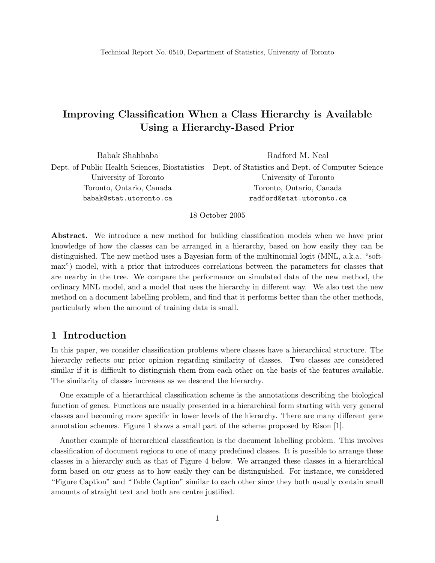# Improving Classification When a Class Hierarchy is Available Using a Hierarchy-Based Prior

| Babak Shahbaba           | Radford M. Neal                                                                                  |
|--------------------------|--------------------------------------------------------------------------------------------------|
|                          | Dept. of Public Health Sciences, Biostatistics Dept. of Statistics and Dept. of Computer Science |
| University of Toronto    | University of Toronto                                                                            |
| Toronto, Ontario, Canada | Toronto, Ontario, Canada                                                                         |
| babak@stat.utoronto.ca   | radford@stat.utoronto.ca                                                                         |
|                          |                                                                                                  |

18 October 2005

Abstract. We introduce a new method for building classification models when we have prior knowledge of how the classes can be arranged in a hierarchy, based on how easily they can be distinguished. The new method uses a Bayesian form of the multinomial logit (MNL, a.k.a. "softmax") model, with a prior that introduces correlations between the parameters for classes that are nearby in the tree. We compare the performance on simulated data of the new method, the ordinary MNL model, and a model that uses the hierarchy in different way. We also test the new method on a document labelling problem, and find that it performs better than the other methods, particularly when the amount of training data is small.

# 1 Introduction

In this paper, we consider classification problems where classes have a hierarchical structure. The hierarchy reflects our prior opinion regarding similarity of classes. Two classes are considered similar if it is difficult to distinguish them from each other on the basis of the features available. The similarity of classes increases as we descend the hierarchy.

One example of a hierarchical classification scheme is the annotations describing the biological function of genes. Functions are usually presented in a hierarchical form starting with very general classes and becoming more specific in lower levels of the hierarchy. There are many different gene annotation schemes. Figure 1 shows a small part of the scheme proposed by Rison [1].

Another example of hierarchical classification is the document labelling problem. This involves classification of document regions to one of many predefined classes. It is possible to arrange these classes in a hierarchy such as that of Figure 4 below. We arranged these classes in a hierarchical form based on our guess as to how easily they can be distinguished. For instance, we considered "Figure Caption" and "Table Caption" similar to each other since they both usually contain small amounts of straight text and both are centre justified.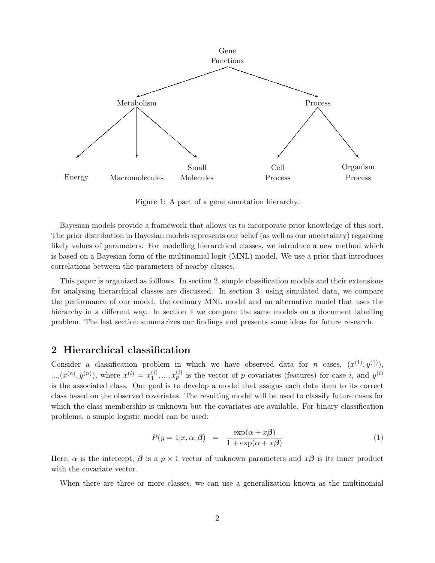

Figure 1: A part of a gene annotation hierarchy.

Bayesian models provide a framework that allows us to incorporate prior knowledge of this sort. The prior distribution in Bayesian models represents our belief (as well as our uncertainty) regarding likely values of parameters. For modelling hierarchical classes, we introduce a new method which is based on a Bayesian form of the multinomial logit (MNL) model. We use a prior that introduces correlations between the parameters of nearby classes.

This paper is organized as folllows. In section 2, simple classification models and their extensions for analysing hierarchical classes are discussed. In section 3, using simulated data, we compare the performance of our model, the ordinary MNL model and an alternative model that uses the hierarchy in a different way. In section 4 we compare the same models on a document labelling problem. The last section summarizes our findings and presents some ideas for future research.

#### 2 Hierarchical classification

Consider a classification problem in which we have observed data for *n* cases,  $(x^{(1)}, y^{(1)})$ ,  $..., (x^{(n)}, y^{(n)}),$  where  $x^{(i)} = x_1^{(i)}$  $\mathbf{I}_{1}^{(i)},...,\mathbf{I}_{p}^{(i)}$  is the vector of p covariates (features) for case i, and  $y^{(i)}$ is the associated class. Our goal is to develop a model that assigns each data item to its correct class based on the observed covariates. The resulting model will be used to classify future cases for which the class membership is unknown but the covariates are available. For binary classification problems, a simple logistic model can be used:

$$
P(y=1|x,\alpha,\beta) = \frac{\exp(\alpha + x\beta)}{1 + \exp(\alpha + x\beta)}
$$
(1)

Here,  $\alpha$  is the intercept,  $\beta$  is a  $p \times 1$  vector of unknown parameters and  $x\beta$  is its inner product with the covariate vector.

When there are three or more classes, we can use a generalization known as the multinomial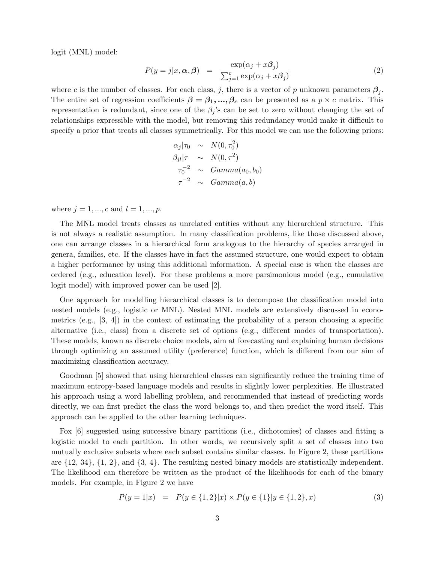logit (MNL) model:

$$
P(y=j|x,\alpha,\beta) = \frac{\exp(\alpha_j + x\beta_j)}{\sum_{j=1}^c \exp(\alpha_j + x\beta_j)}
$$
(2)

where c is the number of classes. For each class, j, there is a vector of p unknown parameters  $\beta_j$ . The entire set of regression coefficients  $\beta = \beta_1, ..., \beta_c$  can be presented as a  $p \times c$  matrix. This representation is redundant, since one of the  $\beta_i$ 's can be set to zero without changing the set of relationships expressible with the model, but removing this redundancy would make it difficult to specify a prior that treats all classes symmetrically. For this model we can use the following priors:

$$
\alpha_j|\tau_0 \sim N(0, \tau_0^2)
$$
  
\n
$$
\beta_{jl}|\tau \sim N(0, \tau^2)
$$
  
\n
$$
\tau_0^{-2} \sim Gamma(a_0, b_0)
$$
  
\n
$$
\tau^{-2} \sim Gamma(a, b)
$$

where  $j = 1, ..., c$  and  $l = 1, ..., p$ .

The MNL model treats classes as unrelated entities without any hierarchical structure. This is not always a realistic assumption. In many classification problems, like those discussed above, one can arrange classes in a hierarchical form analogous to the hierarchy of species arranged in genera, families, etc. If the classes have in fact the assumed structure, one would expect to obtain a higher performance by using this additional information. A special case is when the classes are ordered (e.g., education level). For these problems a more parsimonious model (e.g., cumulative logit model) with improved power can be used [2].

One approach for modelling hierarchical classes is to decompose the classification model into nested models (e.g., logistic or MNL). Nested MNL models are extensively discussed in econometrics (e.g.,  $[3, 4]$ ) in the context of estimating the probability of a person choosing a specific alternative (i.e., class) from a discrete set of options (e.g., different modes of transportation). These models, known as discrete choice models, aim at forecasting and explaining human decisions through optimizing an assumed utility (preference) function, which is different from our aim of maximizing classification accuracy.

Goodman [5] showed that using hierarchical classes can significantly reduce the training time of maximum entropy-based language models and results in slightly lower perplexities. He illustrated his approach using a word labelling problem, and recommended that instead of predicting words directly, we can first predict the class the word belongs to, and then predict the word itself. This approach can be applied to the other learning techniques.

Fox [6] suggested using successive binary partitions (i.e., dichotomies) of classes and fitting a logistic model to each partition. In other words, we recursively split a set of classes into two mutually exclusive subsets where each subset contains similar classes. In Figure 2, these partitions are  $\{12, 34\}, \{1, 2\}, \text{ and } \{3, 4\}.$  The resulting nested binary models are statistically independent. The likelihood can therefore be written as the product of the likelihoods for each of the binary models. For example, in Figure 2 we have

$$
P(y = 1|x) = P(y \in \{1, 2\}|x) \times P(y \in \{1\}|y \in \{1, 2\}, x)
$$
\n(3)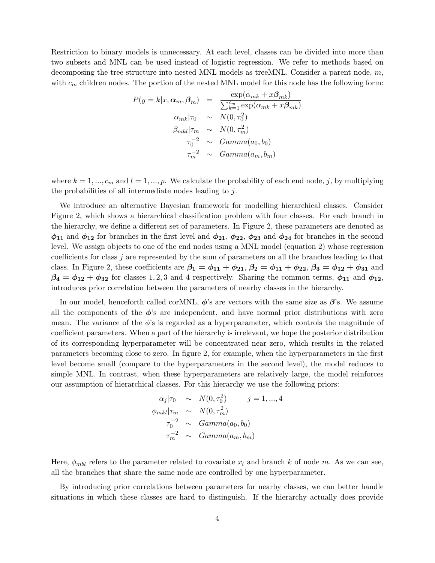Restriction to binary models is unnecessary. At each level, classes can be divided into more than two subsets and MNL can be used instead of logistic regression. We refer to methods based on decomposing the tree structure into nested MNL models as treeMNL. Consider a parent node, m, with  $c_m$  children nodes. The portion of the nested MNL model for this node has the following form:

$$
P(y = k|x, \alpha_m, \beta_m) = \frac{\exp(\alpha_{mk} + x\beta_{mk})}{\sum_{k=1}^{c_m} \exp(\alpha_{mk} + x\beta_{mk})}
$$

$$
\alpha_{mk}|\tau_0 \sim N(0, \tau_0^2)
$$

$$
\beta_{mkl}|\tau_m \sim N(0, \tau_m^2)
$$

$$
\tau_0^{-2} \sim Gamma(a_0, b_0)
$$

$$
\tau_m^{-2} \sim Gamma(a_m, b_m)
$$

where  $k = 1, ..., c_m$  and  $l = 1, ..., p$ . We calculate the probability of each end node, j, by multiplying the probabilities of all intermediate nodes leading to j.

We introduce an alternative Bayesian framework for modelling hierarchical classes. Consider Figure 2, which shows a hierarchical classification problem with four classes. For each branch in the hierarchy, we define a different set of parameters. In Figure 2, these parameters are denoted as  $\phi_{11}$  and  $\phi_{12}$  for branches in the first level and  $\phi_{21}$ ,  $\phi_{22}$ ,  $\phi_{23}$  and  $\phi_{24}$  for branches in the second level. We assign objects to one of the end nodes using a MNL model (equation 2) whose regression coefficients for class j are represented by the sum of parameters on all the branches leading to that class. In Figure 2, these coefficients are  $\beta_1 = \phi_{11} + \phi_{21}$ ,  $\beta_2 = \phi_{11} + \phi_{22}$ ,  $\beta_3 = \phi_{12} + \phi_{31}$  and  $\beta_4 = \phi_{12} + \phi_{32}$  for classes 1, 2, 3 and 4 respectively. Sharing the common terms,  $\phi_{11}$  and  $\phi_{12}$ , introduces prior correlation between the parameters of nearby classes in the hierarchy.

In our model, henceforth called corMNL,  $\phi$ 's are vectors with the same size as  $\beta$ 's. We assume all the components of the  $\phi$ 's are independent, and have normal prior distributions with zero mean. The variance of the  $\phi$ 's is regarded as a hyperparameter, which controls the magnitude of coefficient parameters. When a part of the hierarchy is irrelevant, we hope the posterior distribution of its corresponding hyperparameter will be concentrated near zero, which results in the related parameters becoming close to zero. In figure 2, for example, when the hyperparameters in the first level become small (compare to the hyperparameters in the second level), the model reduces to simple MNL. In contrast, when these hyperparameters are relatively large, the model reinforces our assumption of hierarchical classes. For this hierarchy we use the following priors:

$$
\alpha_j|\tau_0 \sim N(0, \tau_0^2) \qquad j = 1, ..., 4
$$
  
\n
$$
\phi_{mkl}|\tau_m \sim N(0, \tau_m^2)
$$
  
\n
$$
\tau_0^{-2} \sim Gamma(a_0, b_0)
$$
  
\n
$$
\tau_m^{-2} \sim Gamma(a_m, b_m)
$$

Here,  $\phi_{mbl}$  refers to the parameter related to covariate  $x_l$  and branch k of node m. As we can see, all the branches that share the same node are controlled by one hyperparameter.

By introducing prior correlations between parameters for nearby classes, we can better handle situations in which these classes are hard to distinguish. If the hierarchy actually does provide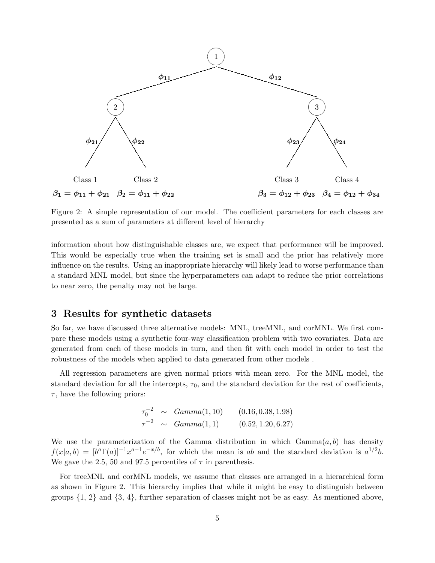

Figure 2: A simple representation of our model. The coefficient parameters for each classes are presented as a sum of parameters at different level of hierarchy

information about how distinguishable classes are, we expect that performance will be improved. This would be especially true when the training set is small and the prior has relatively more influence on the results. Using an inappropriate hierarchy will likely lead to worse performance than a standard MNL model, but since the hyperparameters can adapt to reduce the prior correlations to near zero, the penalty may not be large.

### 3 Results for synthetic datasets

So far, we have discussed three alternative models: MNL, treeMNL, and corMNL. We first compare these models using a synthetic four-way classification problem with two covariates. Data are generated from each of these models in turn, and then fit with each model in order to test the robustness of the models when applied to data generated from other models .

All regression parameters are given normal priors with mean zero. For the MNL model, the standard deviation for all the intercepts,  $\tau_0$ , and the standard deviation for the rest of coefficients,  $\tau$ , have the following priors:

$$
\tau_0^{-2} \sim Gamma(1, 10) \qquad (0.16, 0.38, 1.98)
$$
  

$$
\tau^{-2} \sim Gamma(1, 1) \qquad (0.52, 1.20, 6.27)
$$

We use the parameterization of the Gamma distribution in which  $Gamma(a, b)$  has density  $f(x|a, b) = [b^a \Gamma(a)]^{-1} x^{a-1} e^{-x/b}$ , for which the mean is ab and the standard deviation is  $a^{1/2}b$ . We gave the 2.5, 50 and 97.5 percentiles of  $\tau$  in parenthesis.

For treeMNL and corMNL models, we assume that classes are arranged in a hierarchical form as shown in Figure 2. This hierarchy implies that while it might be easy to distinguish between groups  $\{1, 2\}$  and  $\{3, 4\}$ , further separation of classes might not be as easy. As mentioned above,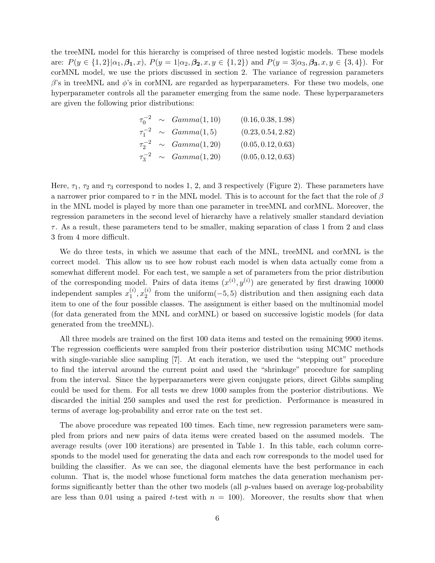the treeMNL model for this hierarchy is comprised of three nested logistic models. These models are:  $P(y \in \{1,2\}|\alpha_1,\beta_1,x)$ ,  $P(y=1|\alpha_2,\beta_2,x,y \in \{1,2\})$  and  $P(y=3|\alpha_3,\beta_3,x,y \in \{3,4\})$ . For corMNL model, we use the priors discussed in section 2. The variance of regression parameters  $\beta$ 's in treeMNL and  $\phi$ 's in corMNL are regarded as hyperparameters. For these two models, one hyperparameter controls all the parameter emerging from the same node. These hyperparameters are given the following prior distributions:

|  | $\tau_0^{-2} \sim Gamma(1, 10)$ | (0.16, 0.38, 1.98) |
|--|---------------------------------|--------------------|
|  | $\tau_1^{-2} \sim Gamma(1,5)$   | (0.23, 0.54, 2.82) |
|  | $\tau_2^{-2} \sim Gamma(1, 20)$ | (0.05, 0.12, 0.63) |
|  | $\tau_3^{-2} \sim Gamma(1, 20)$ | (0.05, 0.12, 0.63) |

Here,  $\tau_1$ ,  $\tau_2$  and  $\tau_3$  correspond to nodes 1, 2, and 3 respectively (Figure 2). These parameters have a narrower prior compared to  $\tau$  in the MNL model. This is to account for the fact that the role of  $\beta$ in the MNL model is played by more than one parameter in treeMNL and corMNL. Moreover, the regression parameters in the second level of hierarchy have a relatively smaller standard deviation  $\tau$ . As a result, these parameters tend to be smaller, making separation of class 1 from 2 and class 3 from 4 more difficult.

We do three tests, in which we assume that each of the MNL, treeMNL and corMNL is the correct model. This allow us to see how robust each model is when data actually come from a somewhat different model. For each test, we sample a set of parameters from the prior distribution of the corresponding model. Pairs of data items  $(x^{(i)}, y^{(i)})$  are generated by first drawing 10000 independent samples  $x_1^{(i)}$  $_1^{(i)}, x_2^{(i)}$  $\binom{1}{2}$  from the uniform(-5,5) distribution and then assigning each data item to one of the four possible classes. The assignment is either based on the multinomial model (for data generated from the MNL and corMNL) or based on successive logistic models (for data generated from the treeMNL).

All three models are trained on the first 100 data items and tested on the remaining 9900 items. The regression coefficients were sampled from their posterior distribution using MCMC methods with single-variable slice sampling [7]. At each iteration, we used the "stepping out" procedure to find the interval around the current point and used the "shrinkage" procedure for sampling from the interval. Since the hyperparameters were given conjugate priors, direct Gibbs sampling could be used for them. For all tests we drew 1000 samples from the posterior distributions. We discarded the initial 250 samples and used the rest for prediction. Performance is measured in terms of average log-probability and error rate on the test set.

The above procedure was repeated 100 times. Each time, new regression parameters were sampled from priors and new pairs of data items were created based on the assumed models. The average results (over 100 iterations) are presented in Table 1. In this table, each column corresponds to the model used for generating the data and each row corresponds to the model used for building the classifier. As we can see, the diagonal elements have the best performance in each column. That is, the model whose functional form matches the data generation mechanism performs significantly better than the other two models (all  $p$ -values based on average log-probability are less than 0.01 using a paired t-test with  $n = 100$ . Moreover, the results show that when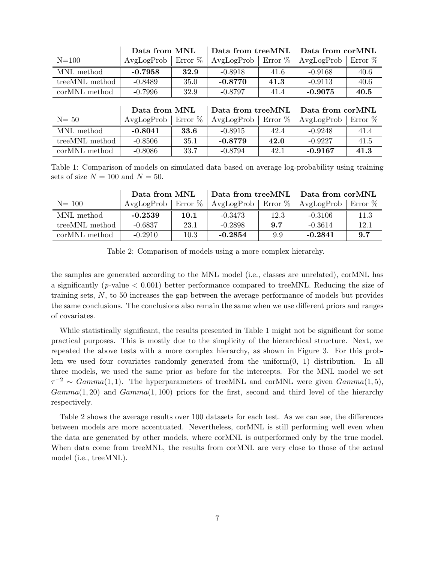|                           | Data from MNL |            | Data from treeMNL |           | Data from corMNL |            |
|---------------------------|---------------|------------|-------------------|-----------|------------------|------------|
| $N=100$                   | AvgLogProb    | Error $\%$ | AvgLogProb        | Error $%$ | AvgLogProb       | Error $%$  |
| MNL method                | $-0.7958$     | 32.9       | $-0.8918$         | 41.6      | $-0.9168$        | 40.6       |
| treeMNL method            | $-0.8489$     | 35.0       | $-0.8770$         | 41.3      | $-0.9113$        | 40.6       |
| cor <sub>MNL</sub> method | $-0.7996$     | 32.9       | $-0.8797$         | 41.4      | $-0.9075$        | 40.5       |
|                           |               |            |                   |           |                  |            |
|                           |               |            |                   |           |                  |            |
|                           | Data from MNL |            | Data from treeMNL |           | Data from corMNL |            |
| $N = 50$                  | AvgLogProb    | Error $%$  | AvgLogProb        | Error $%$ | AvgLogProb       | Error $\%$ |
| MNL method                | $-0.8041$     | 33.6       | $-0.8915$         | 42.4      | $-0.9248$        | 41.4       |
| treeMNL method            | $-0.8506$     | 35.1       | $-0.8779$         | 42.0      | $-0.9227$        | 41.5       |

Table 1: Comparison of models on simulated data based on average log-probability using training sets of size  $N = 100$  and  $N = 50$ .

|                | Data from MNL        |      | Data from treeMNL   Data from corMNL |      |                                 |      |
|----------------|----------------------|------|--------------------------------------|------|---------------------------------|------|
| $N = 100$      | AvgLogProb   Error % |      | $\Delta$ vgLogProb   Error $\%$      |      | $\Delta$ vgLogProb   Error $\%$ |      |
| MNL method     | $-0.2539$            | 10.1 | -0.3473                              | 12.3 | $-0.3106$                       | 11.3 |
| treeMNL method | $-0.6837$            | 23.1 | $-0.2898$                            | 9.7  | $-0.3614$                       | 12.1 |
| corMNL method  | $-0.2910$            | 10.3 | $-0.2854$                            | 9.9  | $-0.2841$                       | 9.7  |

Table 2: Comparison of models using a more complex hierarchy.

the samples are generated according to the MNL model (i.e., classes are unrelated), corMNL has a significantly ( $p$ -value  $< 0.001$ ) better performance compared to treeMNL. Reducing the size of training sets, N, to 50 increases the gap between the average performance of models but provides the same conclusions. The conclusions also remain the same when we use different priors and ranges of covariates.

While statistically significant, the results presented in Table 1 might not be significant for some practical purposes. This is mostly due to the simplicity of the hierarchical structure. Next, we repeated the above tests with a more complex hierarchy, as shown in Figure 3. For this problem we used four covariates randomly generated from the uniform(0, 1) distribution. In all three models, we used the same prior as before for the intercepts. For the MNL model we set  $\tau^{-2} \sim Gamma(1, 1)$ . The hyperparameters of treeMNL and corMNL were given  $Gamma(1, 5)$ ,  $Gamma(1, 20)$  and  $Gamma(1, 100)$  priors for the first, second and third level of the hierarchy respectively.

Table 2 shows the average results over 100 datasets for each test. As we can see, the differences between models are more accentuated. Nevertheless, corMNL is still performing well even when the data are generated by other models, where corMNL is outperformed only by the true model. When data come from treeMNL, the results from corMNL are very close to those of the actual model (i.e., treeMNL).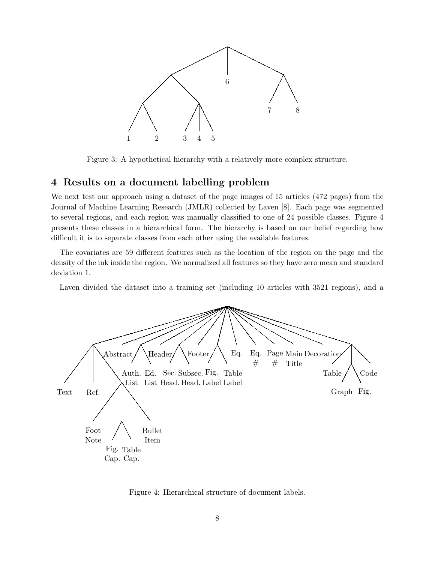

Figure 3: A hypothetical hierarchy with a relatively more complex structure.

# 4 Results on a document labelling problem

We next test our approach using a dataset of the page images of 15 articles (472 pages) from the Journal of Machine Learning Research (JMLR) collected by Laven [8]. Each page was segmented to several regions, and each region was manually classified to one of 24 possible classes. Figure 4 presents these classes in a hierarchical form. The hierarchy is based on our belief regarding how difficult it is to separate classes from each other using the available features.

The covariates are 59 different features such as the location of the region on the page and the density of the ink inside the region. We normalized all features so they have zero mean and standard deviation 1.

Laven divided the dataset into a training set (including 10 articles with 3521 regions), and a



Figure 4: Hierarchical structure of document labels.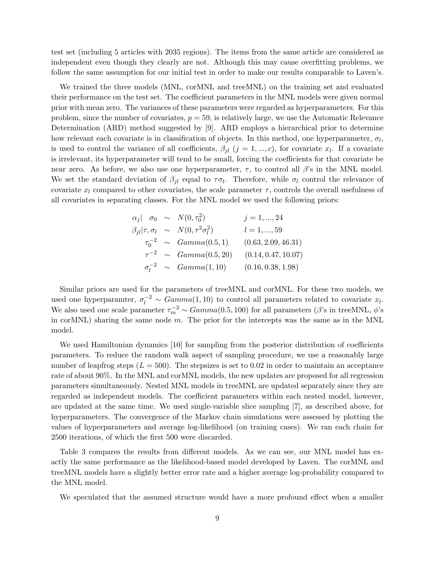test set (including 5 articles with 2035 regions). The items from the same article are considered as independent even though they clearly are not. Although this may cause overfitting problems, we follow the same assumption for our initial test in order to make our results comparable to Laven's.

We trained the three models (MNL, corMNL and treeMNL) on the training set and evaluated their performance on the test set. The coefficient parameters in the MNL models were given normal prior with mean zero. The variances of these parameters were regarded as hyperparameters. For this problem, since the number of covariates,  $p = 59$ , is relatively large, we use the Automatic Relevance Determination (ARD) method suggested by [9]. ARD employs a hierarchical prior to determine how relevant each covariate is in classification of objects. In this method, one hyperparameter,  $\sigma_l$ , is used to control the variance of all coefficients,  $\beta_{jl}$   $(j = 1, ..., c)$ , for covariate  $x_l$ . If a covariate is irrelevant, its hyperparameter will tend to be small, forcing the coefficients for that covariate be near zero. As before, we also use one hyperparameter,  $\tau$ , to control all  $\beta$ 's in the MNL model. We set the standard deviation of  $\beta_{jl}$  equal to  $\tau \sigma_l$ . Therefore, while  $\sigma_l$  control the relevance of covariate  $x_l$  compared to other covariates, the scale parameter  $\tau$ , controls the overall usefulness of all covariates in separating classes. For the MNL model we used the following priors:

|  | $\alpha_j$ $\sigma_0 \sim N(0, \tau_0^2)$             | $j = 1, , 24$       |
|--|-------------------------------------------------------|---------------------|
|  | $\beta_{jl} \tau,\sigma_l \sim N(0,\tau^2\sigma_l^2)$ | $l = 1, , 59$       |
|  | $\tau_0^{-2} \sim Gamma(0.5, 1)$                      | (0.63, 2.09, 46.31) |
|  | $\tau^{-2} \sim Gamma(0.5, 20)$                       | (0.14, 0.47, 10.07) |
|  | $\sigma_l^{-2} \sim Gamma(1, 10)$                     | (0.16, 0.38, 1.98)  |

Similar priors are used for the parameters of treeMNL and corMNL. For these two models, we used one hyperparamter,  $\sigma_l^{-2} \sim Gamma(1, 10)$  to control all parameters related to covariate  $x_l$ . We also used one scale parameter  $\tau_m^{-2} \sim Gamma(0.5, 100)$  for all parameters ( $\beta$ 's in treeMNL,  $\phi$ 's in corMNL) sharing the same node  $m$ . The prior for the intercepts was the same as in the MNL model.

We used Hamiltonian dynamics [10] for sampling from the posterior distribution of coefficients parameters. To reduce the random walk aspect of sampling procedure, we use a reasonably large number of leapfrog steps  $(L = 500)$ . The stepsizes is set to 0.02 in order to maintain an acceptance rate of about 90%. In the MNL and corMNL models, the new updates are proposed for all regression parameters simultaneously. Nested MNL models in treeMNL are updated separately since they are regarded as independent models. The coefficient parameters within each nested model, however, are updated at the same time. We used single-variable slice sampling [7], as described above, for hyperparameters. The convergence of the Markov chain simulations were assessed by plotting the values of hyperparameters and average log-likelihood (on training cases). We ran each chain for 2500 iterations, of which the first 500 were discarded.

Table 3 compares the results from different models. As we can see, our MNL model has exactly the same performance as the likelihood-based model developed by Laven. The corMNL and treeMNL models have a slightly better error rate and a higher average log-probability compared to the MNL model.

We speculated that the assumed structure would have a more profound effect when a smaller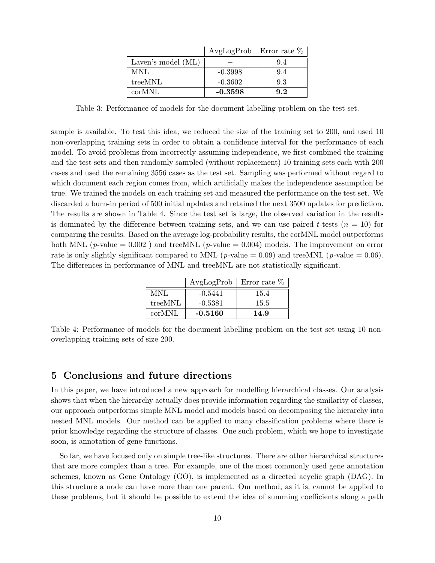|                    | $AvgLogProb$ Error rate $%$ |     |
|--------------------|-----------------------------|-----|
| Laven's model (ML) |                             | 9.4 |
| MNL                | $-0.3998$                   | 9.4 |
| treeMNL            | $-0.3602$                   | 9.3 |
| corMNL             | $-0.3598$                   | 9.2 |

Table 3: Performance of models for the document labelling problem on the test set.

sample is available. To test this idea, we reduced the size of the training set to 200, and used 10 non-overlapping training sets in order to obtain a confidence interval for the performance of each model. To avoid problems from incorrectly assuming independence, we first combined the training and the test sets and then randomly sampled (without replacement) 10 training sets each with 200 cases and used the remaining 3556 cases as the test set. Sampling was performed without regard to which document each region comes from, which artificially makes the independence assumption be true. We trained the models on each training set and measured the performance on the test set. We discarded a burn-in period of 500 initial updates and retained the next 3500 updates for prediction. The results are shown in Table 4. Since the test set is large, the observed variation in the results is dominated by the difference between training sets, and we can use paired t-tests  $(n = 10)$  for comparing the results. Based on the average log-probability results, the corMNL model outperforms both MNL (p-value =  $0.002$ ) and treeMNL (p-value =  $0.004$ ) models. The improvement on error rate is only slightly significant compared to MNL (*p*-value = 0.09) and treeMNL (*p*-value = 0.06). The differences in performance of MNL and treeMNL are not statistically significant.

|         | $AvgLogProb$ Error rate $%$ |      |
|---------|-----------------------------|------|
| MNI     | $-0.5441$                   | 15.4 |
| treeMNL | $-0.5381$                   | 15.5 |
| corMNL  | $-0.5160$                   | 14.9 |

Table 4: Performance of models for the document labelling problem on the test set using 10 nonoverlapping training sets of size 200.

#### 5 Conclusions and future directions

In this paper, we have introduced a new approach for modelling hierarchical classes. Our analysis shows that when the hierarchy actually does provide information regarding the similarity of classes, our approach outperforms simple MNL model and models based on decomposing the hierarchy into nested MNL models. Our method can be applied to many classification problems where there is prior knowledge regarding the structure of classes. One such problem, which we hope to investigate soon, is annotation of gene functions.

So far, we have focused only on simple tree-like structures. There are other hierarchical structures that are more complex than a tree. For example, one of the most commonly used gene annotation schemes, known as Gene Ontology (GO), is implemented as a directed acyclic graph (DAG). In this structure a node can have more than one parent. Our method, as it is, cannot be applied to these problems, but it should be possible to extend the idea of summing coefficients along a path